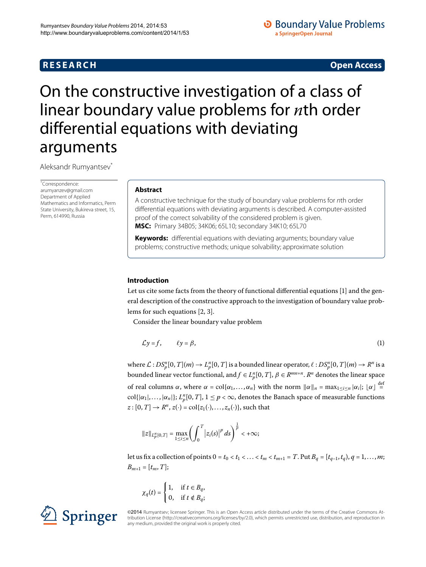# **R E S E A R C H Open Access**

# **O** Boundary Value Problems a SpringerOpen Journal

# <span id="page-0-0"></span>On the constructive investigation of a class of linear boundary value problems for *n*th order differential equations with deviating arguments

Aleksandr Rumyantsev[\\*](#page-0-0)

\* Correspondence: [arumyanzev@gmail.com](mailto:arumyanzev@gmail.com) Department of Applied Mathematics and Informatics, Perm State University, Bukireva street, 15, Perm, 614990, Russia

#### **Abstract**

A constructive technique for the study of boundary value problems for nth order differential equations with deviating arguments is described. A computer-assisted proof of the correct solvability of the considered problem is given. **MSC:** Primary 34B05; 34K06; 65L10; secondary 34K10; 65L70

**Keywords:** differential equations with deviating arguments; boundary value problems; constructive methods; unique solvability; approximate solution

#### **Introduction**

Let us cite some facts from the theory of functional differential equations [\[](#page-10-0)1] and the general description of the constructive approach to the investigation of boundary value problems for such equations  $[2, 3]$  $[2, 3]$  $[2, 3]$ .

Consider the linear boundary value problem

<span id="page-0-1"></span>
$$
\mathcal{L}y = f, \qquad \ell y = \beta, \tag{1}
$$

where  $\mathcal{L}:DS_p^n[0,T](m) \to L_p^n[0,T]$  is a bounded linear operator,  $\ell:DS_p^n[0,T](m) \to R^n$  is a bounded linear vector functional, and  $f \in L_p^n[0,T]$ ,  $\beta \in R^{mn+n}$ .  $R^n$  denotes the linear space of real columns  $\alpha$ , where  $\alpha = \text{col}\{\alpha_1, \dots, \alpha_n\}$  with the norm  $\|\alpha\|_n = \max_{1 \le i \le n} |\alpha_i|$ ;  $\alpha \le \frac{d}{n}$  ${\rm col}\{|\alpha_1|,\ldots,|\alpha_n|\};$   $L_p^n[0,T],$   $1\leq p<\infty$ , denotes the Banach space of measurable functions  $z:[0,T] \rightarrow R^n$ ,  $z(\cdot) = \text{col}\{z_1(\cdot), \ldots, z_n(\cdot)\}\)$ , such that

$$
||z||_{L_p^m[0,T]} = \max_{1 \le i \le n} \left( \int_0^T |z_i(s)|^p ds \right)^{\frac{1}{p}} < +\infty;
$$

let us fix a collection of points  $0 = t_0 < t_1 < ... < t_m < t_{m+1} = T$ . Put  $B_q = [t_{q-1}, t_q), q = 1, ..., m$ ;  $B_{m+1} = [t_m, T];$ 

$$
\chi_q(t) = \begin{cases} 1, & \text{if } t \in B_q, \\ 0, & \text{if } t \notin B_q; \end{cases}
$$



©2014 Rumyantsev; licensee Springer. This is an Open Access article distributed under the terms of the Creative Commons Attribution License ([http://creativecommons.org/licenses/by/2.0\)](http://creativecommons.org/licenses/by/2.0), which permits unrestricted use, distribution, and reproduction in any medium, provided the original work is properly cited.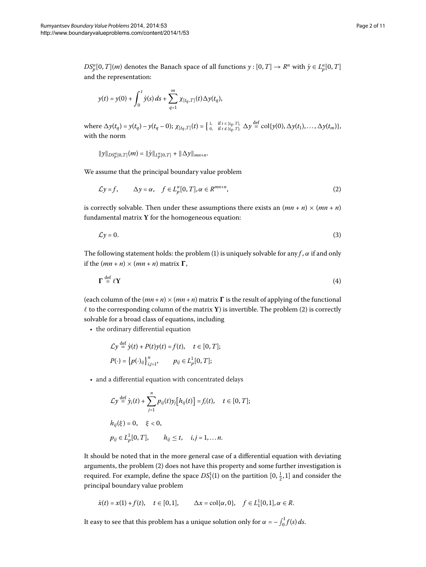$DS_p^n[0, T](m)$  denotes the Banach space of all functions  $y : [0, T] \to R^n$  with  $\dot{y} \in L_p^n[0, T]$ and the representation:

$$
y(t) = y(0) + \int_0^t \dot{y}(s) \, ds + \sum_{q=1}^m \chi_{[t_q, T]}(t) \Delta y(t_q),
$$

where  $\Delta y(t_q) = y(t_q) - y(t_q - 0)$ ;  $\chi_{[t_q, T]}(t) = \begin{cases} 1, & \text{if } t \in [t_q, T], \\ 0, & \text{if } t \notin [t_q, T]; \end{cases} \Delta y \stackrel{\text{def}}{=} \text{col}\{y(0), \Delta y(t_1), \ldots, \Delta y(t_m)\},$ with the norm

<span id="page-1-0"></span>
$$
\|y\|_{DS_p^n[0,T]}(m) = \|\dot{y}\|_{L_p^n[0,T]} + \|\Delta y\|_{mn+n}.
$$

We assume that the principal boundary value problem

$$
\mathcal{L}y = f, \qquad \Delta y = \alpha, \quad f \in L_p^n[0, T], \alpha \in R^{mn+n}, \tag{2}
$$

is correctly solvable. Then under these assumptions there exists an  $(mn + n) \times (mn + n)$ fundamental matrix **Y** for the homogeneous equation:

<span id="page-1-1"></span>
$$
\mathcal{L}y = 0. \tag{3}
$$

The following statement holds: the problem (1[\)](#page-0-1) is uniquely solvable for any  $f$ ,  $\alpha$  if and only if the  $(mn + n) \times (mn + n)$  matrix  $\Gamma$ ,

$$
\Gamma \stackrel{\text{def}}{=} \ell Y \tag{4}
$$

(each column of the  $(mn + n) \times (mn + n)$  matrix  $\Gamma$  is the result of applying of the functional  $\ell$  to the corresponding column of the matrix  $\mathbf{Y})$  $\mathbf{Y})$  is invertible. The problem (2) is correctly solvable for a broad class of equations, including

• the ordinary differential equation

def

$$
\mathcal{L}y \stackrel{\text{def}}{=} \dot{y}(t) + P(t)y(t) = f(t), \quad t \in [0, T];
$$
  

$$
P(\cdot) = \left\{ p(\cdot)_{ij} \right\}_{i,j=1}^n, \qquad p_{ij} \in L_p^1[0, T];
$$

• and a differential equation with concentrated delays

$$
\mathcal{L}y \stackrel{\text{def}}{=} \dot{y}_i(t) + \sum_{j=1}^n p_{ij}(t)y_j[h_{ij}(t)] = f_i(t), \quad t \in [0, T];
$$
  

$$
h_{ij}(\xi) = 0, \quad \xi < 0,
$$
  

$$
p_{ij} \in L_p^1[0, T], \qquad h_{ij} \le t, \quad i, j = 1, ... n.
$$

It should be noted that in the more general case of a differential equation with deviating arguments, the problem (2[\)](#page-1-0) does not have this property and some further investigation is required. For example, define the space  $DS_1^1(1)$  on the partition  $[0, \frac{1}{2}, 1]$  and consider the principal boundary value problem

$$
\dot{x}(t) = x(1) + f(t), \quad t \in [0,1], \qquad \Delta x = \text{col}\{\alpha, 0\}, \quad f \in L_1^1[0,1], \alpha \in R.
$$

It easy to see that this problem has a unique solution only for  $\alpha = -\int_0^1 f(s) \, ds$ .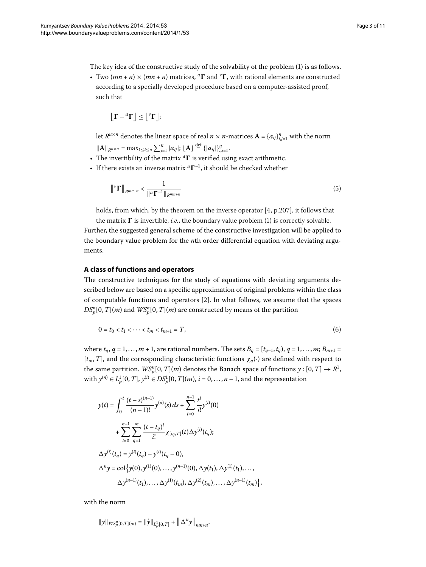The key idea of the constructive study of the solvability of the problem (1[\)](#page-0-1) is as follows.

• Two  $(mn + n) \times (mn + n)$  matrices, <sup>a</sup>**T** and <sup>*v*</sup>**T**, with rational elements are constructed according to a specially developed procedure based on a computer-assisted proof, such that

$$
\left\lfloor \Gamma - {}^{\text{\rm a}}\Gamma \right\rfloor \leq \left\lfloor {}^{\text{\rm v}}\Gamma \right\rfloor;
$$

let  $R^{n \times n}$  denotes the linear space of real  $n \times n$ -matrices  $\mathbf{A} = \{a_{ij}\}_{i,j=1}^n$  with the norm  $||\mathbf{A}||_{R^{n \times n}} = \max_{1 \le i \le n} \sum_{j=1}^{n} |a_{ij}|;$   $|\mathbf{A}| \stackrel{\text{def}}{=} {(|a_{ij}|)}_{i,j=1}^{n}$ .

- The invertibility of the matrix <sup>*a*</sup>**T** is verified using exact arithmetic.
- If there exists an inverse matrix  ${}^a\Gamma^{-1}$ , it should be checked whether

<span id="page-2-0"></span>
$$
\|{}^{\nu}\Gamma\|_{R^{mn+n}} < \frac{1}{\|{}^a\Gamma^{-1}\|_{R^{mn+n}}}\tag{5}
$$

holds, from which, by the theorem on the inverse operator  $[4, p.207]$  $[4, p.207]$ , it follows that

the matrix  $\Gamma$  is invertible, *i.e.*, the boundary value problem (1[\)](#page-0-1) is correctly solvable.

Further, the suggested general scheme of the constructive investigation will be applied to the boundary value problem for the *n*th order differential equation with deviating arguments.

#### **A class of functions and operators**

The constructive techniques for the study of equations with deviating arguments described below are based on a specific approximation of original problems within the class of computable functions and operators  $[2]$  $[2]$ . In what follows, we assume that the spaces  $DS_p^n[0,T](m)$  and  $WS_p^n[0,T](m)$  are constructed by means of the partition

$$
0 = t_0 < t_1 < \cdots < t_m < t_{m+1} = T,\tag{6}
$$

where  $t_q$ ,  $q = 1, ..., m + 1$ , are rational numbers. The sets  $B_q = [t_{q-1}, t_q)$ ,  $q = 1, ..., m; B_{m+1}$ [*tm*,*T*], and the corresponding characteristic functions *χq*(·) are defined with respect to the same partition.  $WS_p^n[0,T](m)$  denotes the Banach space of functions  $y:[0,T]\rightarrow R^1,$ with  $y^{(n)} \in L_p^1[0, T]$ ,  $y^{(i)} \in DS_p^1[0, T](m)$ ,  $i = 0, ..., n - 1$ , and the representation

$$
y(t) = \int_0^t \frac{(t-s)^{(n-1)}}{(n-1)!} y^{(n)}(s) ds + \sum_{i=0}^{n-1} \frac{t^i}{i!} y^{(i)}(0)
$$
  
+ 
$$
\sum_{i=0}^{n-1} \sum_{q=1}^m \frac{(t-t_q)^i}{i!} \chi_{[t_q, T]}(t) \Delta y^{(i)}(t_q);
$$
  

$$
\Delta y^{(i)}(t_q) = y^{(i)}(t_q) - y^{(i)}(t_q - 0),
$$
  

$$
\Delta^n y = \text{col}\big\{y(0), y^{(1)}(0), \dots, y^{(n-1)}(0), \Delta y(t_1), \Delta y^{(1)}(t_1), \dots,
$$
  

$$
\Delta y^{(n-1)}(t_1), \dots, \Delta y^{(1)}(t_m), \Delta y^{(2)}(t_m), \dots, \Delta y^{(n-1)}(t_m)\big\},
$$

with the norm

$$
\|y\|_{WS_p^n[0,T](m)} = \|\dot{y}\|_{L_p^1[0,T]} + \left\| \Delta^n y \right\|_{mn+n}.
$$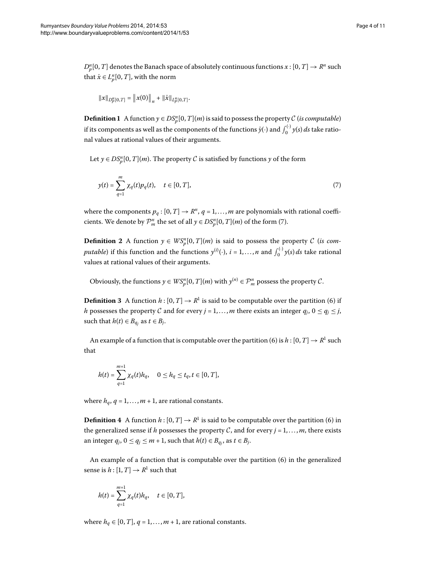$D_p^n[0,T]$  denotes the Banach space of absolutely continuous functions  $x:[0,T]\rightarrow R^n$  such that  $\dot{x} \in L_p^n[0, T]$ , with the norm

<span id="page-3-0"></span>
$$
||x||_{D_p^n[0,T]} = ||x(0)||_n + ||\dot{x}||_{L_p^n[0,T]}.
$$

**Definition 1** A function  $y \in DS_p^n[0, T](m)$  is said to possess the property C (*is computable*) if its components as well as the components of the functions  $\dot{y}(\cdot)$  and  $\int_0^{(\cdot)} y(s) \, ds$  take rational values at rational values of their arguments.

Let  $y \in DS_p^n[0, T](m)$ . The property  $C$  is satisfied by functions  $y$  of the form

$$
y(t) = \sum_{q=1}^{m} \chi_q(t) p_q(t), \quad t \in [0, T],
$$
\n(7)

where the components  $p_q : [0, T] \to \mathbb{R}^n$ ,  $q = 1, ..., m$  are polynomials with rational coefficients. We denote by  $\mathcal{P}_m^n$  the set of all  $y \in DS_p^n[0, T](m)$  $y \in DS_p^n[0, T](m)$  of the form (7).

**Definition 2** A function  $y \in WS_p^n[0,T](m)$  is said to possess the property C (*is computable*) if this function and the functions  $y^{(i)}(\cdot)$ ,  $i = 1, ..., n$  and  $\int_0^{(\cdot)} y(s) ds$  take rational values at rational values of their arguments.

Obviously, the functions  $y \in WS_p^n[0, T](m)$  with  $y^{(n)} \in \mathcal{P}_m^n$  possess the property  $\mathcal{C}.$ 

**Definition 3** A function  $h: [0, T] \to \mathbb{R}^1$  is said to be computable over the partition (6) if *h* possesses the property C and for every *j* = 1, ..., *m* there exists an integer  $q_i$ ,  $0 \le q_i \le j$ , such that  $h(t) \in B_{q_i}$  as  $t \in B_j$ .

An example of a function that is computable over the partition (6) is  $h : [0, T] \rightarrow R^1$  such that

$$
h(t) = \sum_{q=1}^{m+1} \chi_q(t) h_q, \quad 0 \le h_q \le t_q, t \in [0, T],
$$

where  $h_q$ ,  $q = 1, ..., m + 1$ , are rational constants.

**Definition 4** A function  $h: [0, T] \to R^1$  is said to be computable over the partition (6) in the generalized sense if *h* possesses the property C, and for every  $j = 1, ..., m$ , there exists an integer  $q_j$ ,  $0 \le q_j \le m+1$ , such that  $h(t) \in B_{q_j}$ , as  $t \in B_j$ .

An example of a function that is computable over the partition  $(6)$  $(6)$  in the generalized sense is  $h: [1, T] \rightarrow R^1$  such that

$$
h(t) = \sum_{q=1}^{m+1} \chi_q(t) h_q, \quad t \in [0, T],
$$

where  $h_q \in [0, T]$ ,  $q = 1, \ldots, m + 1$ , are rational constants.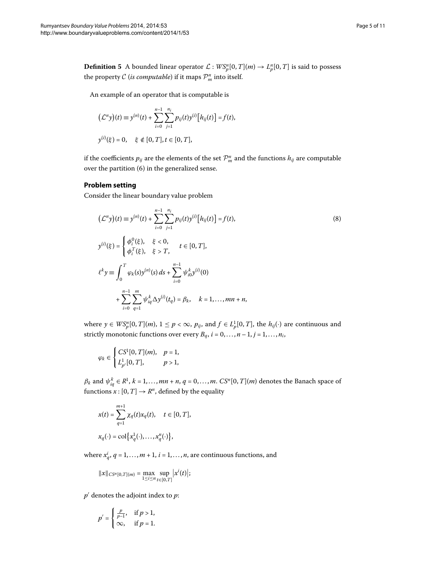**Definition 5** A bounded linear operator  $\mathcal{L}: WS_p^n[0,T](m) \to L_p^n[0,T]$  is said to possess the property  $\mathcal C$  (*is computable*) if it maps  $\mathcal P_m^n$  into itself.

An example of an operator that is computable is

<span id="page-4-0"></span>
$$
(\mathcal{L}^n y)(t) \equiv y^{(n)}(t) + \sum_{i=0}^{n-1} \sum_{j=1}^{n_i} p_{ij}(t) y^{(i)} [h_{ij}(t)] = f(t),
$$
  

$$
y^{(i)}(\xi) = 0, \quad \xi \notin [0, T], t \in [0, T],
$$

if the coefficients  $p_{ij}$  are the elements of the set  $\mathcal{P}_m^n$  and the functions  $h_{ij}$  are computable over the partition  $(6)$  in the generalized sense.

#### **Problem setting**

Consider the linear boundary value problem

$$
(\mathcal{L}^{n} y)(t) \equiv y^{(n)}(t) + \sum_{i=0}^{n-1} \sum_{j=1}^{n_i} p_{ij}(t) y^{(i)} [h_{ij}(t)] = f(t),
$$
  
\n
$$
y^{(i)}(\xi) = \begin{cases} \phi_i^{0}(\xi), & \xi < 0, \\ \phi_i^{T}(\xi), & \xi > T, \end{cases} t \in [0, T],
$$
  
\n
$$
\ell^{k} y \equiv \int_0^{T} \varphi_k(s) y^{(n)}(s) ds + \sum_{i=0}^{n-1} \psi_{i0}^{k} y^{(i)}(0)
$$
  
\n
$$
+ \sum_{i=0}^{n-1} \sum_{q=1}^{m} \psi_{iq}^{k} \Delta y^{(i)}(t_q) = \beta_k, \quad k = 1, ..., mn + n,
$$
\n(8)

where  $y \in WS_p^n[0, T](m)$ ,  $1 \le p < \infty$ ,  $p_{ij}$ , and  $f \in L_p^1[0, T]$ , the  $h_{ij}(\cdot)$  are continuous and strictly monotonic functions over every  $B_q$ ,  $i = 0, \ldots, n-1, j = 1, \ldots, n_i$ ,

$$
\varphi_k \in \begin{cases} CS^1[0, T](m), & p = 1, \\ L^1_{p'}[0, T], & p > 1, \end{cases}
$$

*β*<sub>*k*</sub> and  $\psi_{iq}^k \in R^1$ ,  $k = 1, ..., mn + n$ ,  $q = 0, ..., m$ .  $CS^n[0, T](m)$  denotes the Banach space of functions  $x : [0, T] \rightarrow R^n$ , defined by the equality

$$
x(t) = \sum_{q=1}^{m+1} \chi_q(t) x_q(t), \quad t \in [0, T],
$$
  

$$
x_q(\cdot) = \text{col}\big\{x_q^1(\cdot), \dots, x_q^n(\cdot)\big\},
$$

where  $x_q^i$ ,  $q = 1, ..., m + 1$ ,  $i = 1, ..., n$ , are continuous functions, and

$$
||x||_{CS^{n}[0,T](m)} = \max_{1 \leq i \leq n} \sup_{t \in [0,T]} |x^{i}(t)|;
$$

*p* denotes the adjoint index to *p*:

$$
p' = \begin{cases} \frac{p}{p-1}, & \text{if } p > 1, \\ \infty, & \text{if } p = 1. \end{cases}
$$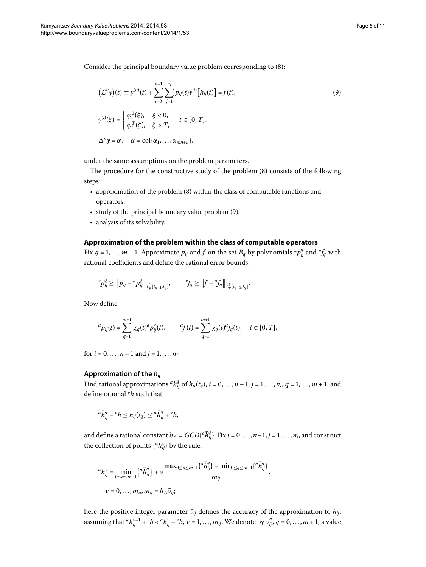Consider the principal boundary value problem corresponding to [\(](#page-4-0)8):

<span id="page-5-0"></span>
$$
(\mathcal{L}^n y)(t) \equiv y^{(n)}(t) + \sum_{i=0}^{n-1} \sum_{j=1}^{n_i} p_{ij}(t) y^{(i)} [h_{ij}(t)] = f(t),
$$
  
\n
$$
y^{(i)}(\xi) = \begin{cases} \varphi_i^0(\xi), & \xi < 0, \\ \varphi_i^T(\xi), & \xi > T, \end{cases} t \in [0, T],
$$
  
\n
$$
\Delta^n y = \alpha, \quad \alpha = \text{col}\{\alpha_1, ..., \alpha_{mn+n}\},
$$
\n(9)

under the same assumptions on the problem parameters.

The procedure for the constructive study of the problem  $(8)$  $(8)$  consists of the following steps:

- approximation of the problem  $(8)$  within the class of computable functions and operators,
- $\cdot$  study of the principal boundary value problem [\(](#page-5-0)9),
- analysis of its solvability.

#### **Approximation of the problem within the class of computable operators**

Fix  $q = 1, \ldots, m + 1$ . Approximate  $p_{ij}$  and  $f$  on the set  $B_q$  by polynomials  ${}^a p_{ij}^q$  and  ${}^a f_q$  with rational coefficients and define the rational error bounds:

$$
{}^{\nu}P_{ij}^{q} \geq \|p_{ij} - {}^aP_{ij}^{q}\|_{L^1_p[t_{q-1}, t_q]}, \qquad {}^{\nu}f_q \geq \|f - {}^a f_q\|_{L^1_p[t_{q-1}, t_q]}.
$$

Now define

$$
{}^ap_{ij}(t)=\sum_{q=1}^{m+1}\chi_q(t)^ap^q_{ij}(t),\qquad {}^af(t)=\sum_{q=1}^{m+1}\chi_q(t)^qf_q(t),\quad t\in[0,T],
$$

for  $i = 0, ..., n - 1$  and  $j = 1, ..., n_i$ .

#### **Approximation of the** *hij*

Find rational approximations  ${}^a \bar{h}^q_{ij}$  of  $h_{ij}(t_q),$   $i=0,\ldots,n-1,$   $j=1,\ldots,n_i,$   $q=1,\ldots,m+1,$  and define rational *vh* such that

$$
{}^a\bar{h}^q_{ij} - {}^v h \leq h_{ij}(t_q) \leq {}^a\bar{h}^q_{ij} + {}^v h,
$$

and define a rational constant  $h_\triangle = GCD\{^a \bar{h}^q_{ij}\}$ . Fix  $i=0,\ldots,n-1, j=1,\ldots,n_i,$  and construct the collection of points {*ah<sup>ν</sup> ij*} by the rule:

$$
{}^{a}h_{ij}^{\nu} = \min_{0 \le q \le m+1} \{ {}^{a}\bar{h}_{ij}^{q}\} + \nu \frac{\max_{0 \le q \le m+1} \{ {}^{a}\bar{h}_{ij}^{q}\} - \min_{0 \le q \le m+1} \{ {}^{a}\bar{h}_{ij}^{q}\}}{m_{ij}},
$$
  

$$
\nu = 0, \dots, m_{ij}, m_{ij} = h_{\triangle}\bar{\nu}_{ij};
$$

here the positive integer parameter  $\bar{v}_{ij}$  defines the accuracy of the approximation to  $h_{ij}$ , assuming that  ${}^a h_{ij}^{\nu-1} + {}^\nu h < {}^a h_{ij}^\nu - {}^\nu h$ ,  $\nu = 1,\ldots,m_{ij}.$  We denote by  $\nu_{ij}^q$ ,  $q = 0,\ldots,m+1,$  a value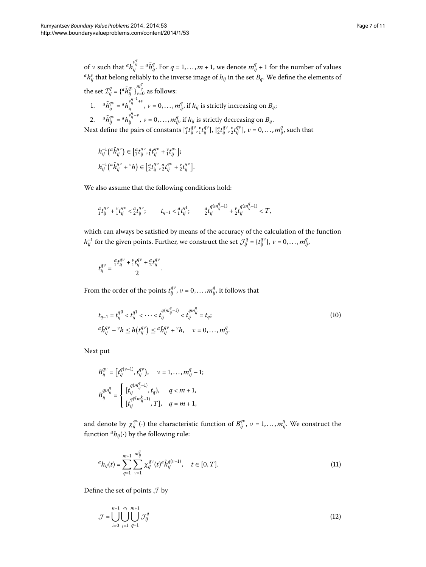that

of *ν* such that  ${}^a h_{ij}^{\nu_{ij}^q} = {}^a \bar{h}_{ij}^q$ . For  $q = 1, ..., m + 1$ , we denote  $m_{ij}^q + 1$  for the number of values  ${}^a h^{\nu}_{ij}$  that belong reliably to the inverse image of  $h_{ij}$  in the set  $B_q$ . We define the elements of

the set 
$$
\mathcal{I}_{ij}^q = \{^a \tilde{h}_{ij}^{qv}\}_{v=0}^{m_{ij}^q}
$$
 as follows:  
\n1.  $^a \tilde{h}_{ij}^{qv} = {^a h}_{ij}^{v_{ij}^{q-1}+v}$ ,  $v = 0, ..., m_{ij}^q$ , if  $h_{ij}$  is strictly increasing on  $B_q$ ;  
\n2.  $^a \tilde{h}_{ij}^{qv} = {^a h}_{ij}^{v_{ij}^{q-1}+v}$ ,  $v = 0, ..., m_{ij}^q$ , if  $h_{ij}$  is strictly decreasing on  $B_q$ .  
\nNext define the pairs of constants  $\begin{bmatrix} {^a}t_{ij}^{qv}, {^v}t_{ij}^{qv} \end{bmatrix}$ ,  $\begin{bmatrix} {^a}t_{ij}^{qv}, {^v}t_{ij}^{qv} \end{bmatrix}$ ,  $v = 0, ..., m_{ij}^q$ , such

$$
h_{ij}^{-1}(\begin{matrix} \tilde{h}_{ij}^{qv} \end{matrix}) \in \begin{bmatrix} a_f q^v & a_f q^v & + {}^v t f^q_{ij} \\ 1 & 1 \end{bmatrix};
$$
  
\n
$$
h_{ij}^{-1}(\begin{matrix} \tilde{h}_{ij}^{qv} + {}^v h \end{matrix}) \in \begin{bmatrix} a_f q^v & a_f q^v & + {}^v t f^q_{ij} \\ 2 & 1 \end{bmatrix};
$$

We also assume that the following conditions hold:

$$
_{1}^{a}t_{ij}^{q\nu}+{_{1}^{v}}t_{ij}^{q\nu}<{}_{2}^{a}t_{ij}^{q\nu};\qquad \ \ t_{q-1}<{}_{1}^{a}t_{ij}^{q1};\qquad \ \ \, _{2}^{a}t_{ij}^{q(m_{ij}^{q}-1)}+{_{2}^{v}}t_{ij}^{q(m_{ij}^{q}-1)}
$$

which can always be satisfied by means of the accuracy of the calculation of the function  $h_{ij}^{-1}$  for the given points. Further, we construct the set  $\mathcal{J}_{ij}^q = \{t_{ij}^{qv}\}, v = 0, \ldots, m_{ij}^q,$ 

$$
t_{ij}^{qv}=\frac{{}^{a}_{i}t_{ij}^{qv}+\frac{\nu}{1}t_{ij}^{qv}+\frac{a}{2}t_{ij}^{qv}}{2}.
$$

From the order of the points  $t_{ij}^{q\nu}$  ,  $\nu = 0, \ldots, m_{ij}^q$ , it follows that

$$
t_{q-1} = t_{ij}^{q0} < t_{ij}^{q1} < \cdots < t_{ij}^{(m_{ij}^{q}-1)} < t_{ij}^{qm_{ij}^{q}} = t_q;
$$
\n
$$
a\tilde{h}_{ij}^{qv} - {}^{\nu}h \le h(t_{ij}^{qv}) \le a\tilde{h}_{ij}^{qv} + {}^{\nu}h, \quad \nu = 0, \ldots, m_{ij}^{q}.
$$
\n
$$
(10)
$$

Next put

$$
B_{ij}^{qv} = \left[ t_{ij}^{q(\nu-1)}, t_{ij}^{qv} \right), \quad v = 1, \dots, m_{ij}^q - 1;
$$
  

$$
B_{ij}^{qm_{ij}^q} = \begin{cases} \left[ t_{ij}^{q(m_{ij}^q-1)}, t_q \right), & q < m+1, \\ \left[ t_{ij}^{q(q_m_{ij}^k-1)}, T \right], & q = m+1, \end{cases}
$$

and denote by  $\chi_{ij}^{qv}(\cdot)$  the characteristic function of  $B_{ij}^{qv}$ ,  $v = 1, ..., m_{ij}^q$ . We construct the function  ${}^a h_{ij}(\cdot)$  by the following rule:

<span id="page-6-0"></span>
$$
{}^{a}h_{ij}(t) = \sum_{q=1}^{m+1} \sum_{\nu=1}^{m_{ij}^{q}} \chi_{ij}^{q\nu}(t) {}^{a} \tilde{h}_{ij}^{q(\nu-1)}, \quad t \in [0, T]. \tag{11}
$$

Define the set of points  $\mathcal J$  by

$$
\mathcal{J} = \bigcup_{i=0}^{n-1} \bigcup_{j=1}^{n_i} \bigcup_{q=1}^{m+1} \mathcal{J}_{ij}^q
$$
\n(12)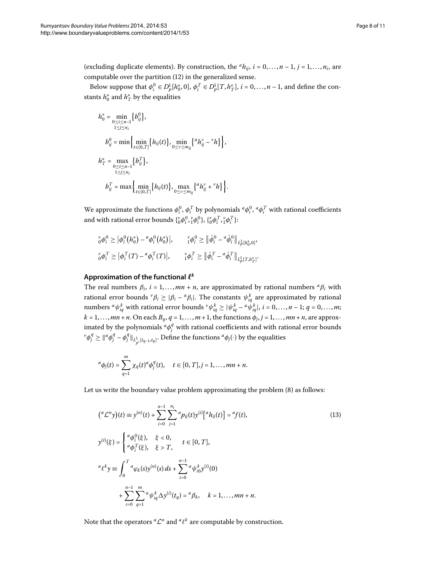(excluding duplicate elements). By construction, the  ${}^{\alpha}h_{ij}$ ,  $i = 0, ..., n - 1$ ,  $j = 1, ..., n_i$ , are computable over the partition  $(12)$  $(12)$  in the generalized sense.

Below suppose that  $\phi_i^0 \in D_p^1[h_0^*,0], \phi_i^T \in D_p^1[T,h_T^*], i = 0,\ldots,n-1$ , and define the constants  $h_0^*$  and  $h_T^*$  by the equalities

$$
\begin{aligned} h_0^* &= \min_{\substack{0 \le i \le n-1 \\ 1 \le j \le n_i}} \Big\{ b_{ij}^0 \Big\}, \\ b_{ij}^0 &= \min \Big\{ \min_{t \in [0,T]} \Big\{ h_{ij}(t) \Big\}, \min_{0 \le \nu \le m_{ij}} \Big\{^a h_{ij}^{\nu} - {^{\nu}h} \Big\} \Big\}, \\ h_T^* &= \max_{\substack{0 \le i \le n-1 \\ 1 \le j \le n_i}} \Big\{ b_{ij}^T \Big\}, \\ b_{ij}^T &= \max \Big\{ \min_{t \in [0,T]} \Big\{ h_{ij}(t) \Big\}, \max_{0 \le \nu \le m_{ij}} \Big\{^a h_{ij}^{\nu} + {^{\nu}h} \Big\} \Big\}. \end{aligned}
$$

We approximate the functions  $\phi_i^0$ ,  $\phi_i^T$  by polynomials  ${}^a\phi_i^0$ ,  ${}^a\phi_i^T$  with rational coefficients and with rational error bounds  $\{v_0^v \phi_i^0, v_1^v \phi_i^0\}$ ,  $\{v_0^v \phi_i^T, v_1^v \phi_i^T\}$ :

$$
\begin{aligned}\n\ _{0}^{\nu} \phi_{i}^{0} &\geq |\phi_{i}^{0}(h_{0}^{*}) - \alpha \phi_{i}^{0}(h_{0}^{*})|, & \ _{1}^{\nu} \phi_{i}^{0} &\geq \|\dot{\phi}_{i}^{0} - \alpha \dot{\phi}_{i}^{0}\|_{L_{p}^{1}(h_{0}^{*},0]}, \\
\\ \ _{0}^{\nu} \phi_{i}^{T} &\geq |\phi_{i}^{T}(T) - \alpha \phi_{i}^{T}(T)|, & \ _{1}^{\nu} \phi_{i}^{T} &\geq \|\dot{\phi}_{i}^{T} - \alpha \dot{\phi}_{i}^{T}\|_{L_{p}^{1}(T,h_{T}^{*})}.\n\end{aligned}
$$

### **Approximation of the functional** *<sup>k</sup>*

The real numbers  $\beta_i$ ,  $i = 1, ..., mn + n$ , are approximated by rational numbers  ${}^{\alpha} \beta_i$  with rational error bounds  $^v\beta_i \geq |\beta_i - {}^a\beta_i|$ . The constants  $\psi_{iq}^k$  are approximated by rational numbers  ${}^a\psi^k_{iq}$  with rational error bounds  ${}^{\nu}\psi^k_{iq} \ge |\psi^k_{iq} - {}^a\psi^k_{iq}|, \, i=0,\ldots,n-1; \, q=0,\ldots,m;$  $k = 1, \ldots, mn + n$ . On each  $B_q$ ,  $q = 1, \ldots, m + 1$ , the functions  $\phi_j$ ,  $j = 1, \ldots, mn + n$ , are approximated by the polynomials  ${}^d\phi_j^q$  with rational coefficients and with rational error bounds  $\phi^q_j \geq \|\alpha^q_j - \phi^q_j\|_{L^1_{p'}[t_{q-1},t_q]}.$  Define the functions  ${}^a\phi_j(\cdot)$  by the equalities

$$
^{a}\phi_{j}(t)=\sum_{q=1}^{m}\chi_{q}(t)^{a}\phi_{j}^{q}(t),\quad t\in[0,T],j=1,\ldots,mn+n.
$$

Let us write the boundary value problem approximating the problem [\(](#page-4-0)8) as follows:

$$
\begin{aligned}\n\left(^{a} \mathcal{L}^{n} y\right)(t) &\equiv y^{(n)}(t) + \sum_{i=0}^{n-1} \sum_{j=1}^{n_{i}} {}^{a} p_{ij}(t) y^{(i)} \left[ {}^{a} h_{ij}(t) \right] = {}^{a} f(t), \\
y^{(i)}(\xi) &= \begin{cases}\n\frac{a}{\phi_{i}^{0}}(\xi), & \xi < 0, \\
\frac{a}{\phi_{i}^{T}}(\xi), & \xi > T,\n\end{cases} \quad t \in [0, T], \\
a \ell^{k} y &\equiv \int_{0}^{T} {}^{a} \varphi_{k}(s) y^{(n)}(s) \, ds + \sum_{i=0}^{n-1} {}^{a} \psi_{i0}^{k} y^{(i)}(0) \\
&+ \sum_{i=0}^{n-1} \sum_{q=1}^{m} {}^{a} \psi_{iq}^{k} \Delta y^{(i)}(t_{q}) = {}^{a} \beta_{k}, & k = 1, \dots, mn + n.\n\end{aligned}
$$
\n(13)

Note that the operators  ${}^a {\cal L}^n$  and  ${}^a {\ell}^k$  are computable by construction.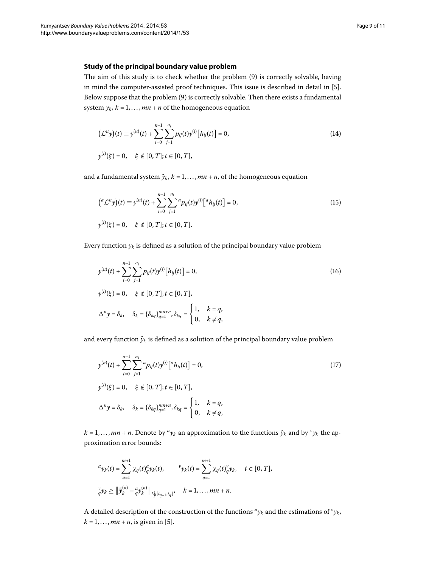#### **Study of the principal boundary value problem**

The aim of this study is to check whether the problem (9[\)](#page-5-0) is correctly solvable, having in mind the computer-assisted proof techniques. This issue is described in detail in [5[\]](#page-10-4). Below suppose that the problem (9) is correctly solvable. Then there exists a fundamental system  $y_k$ ,  $k = 1, ..., mn + n$  of the homogeneous equation

$$
(\mathcal{L}^n y)(t) \equiv y^{(n)}(t) + \sum_{i=0}^{n-1} \sum_{j=1}^{n_i} p_{ij}(t) y^{(i)} [h_{ij}(t)] = 0,
$$
  

$$
y^{(i)}(\xi) = 0, \quad \xi \notin [0, T]; t \in [0, T],
$$
 (14)

and a fundamental system  $\tilde{y}_k$ ,  $k = 1, ..., mn + n$ , of the homogeneous equation

$$
\begin{aligned} \left(^{a} \mathcal{L}^{n} y\right)(t) &\equiv y^{(n)}(t) + \sum_{i=0}^{n-1} \sum_{j=1}^{n_{i}} {}^{a} p_{ij}(t) y^{(i)} \big[ {}^{a} h_{ij}(t) \big] = 0, \\ y^{(i)}(\xi) &= 0, \quad \xi \notin [0, T]; t \in [0, T]. \end{aligned} \tag{15}
$$

Every function  $y_k$  is defined as a solution of the principal boundary value problem

$$
y^{(n)}(t) + \sum_{i=0}^{n-1} \sum_{j=1}^{n_i} p_{ij}(t) y^{(i)} [h_{ij}(t)] = 0,
$$
  
\n
$$
y^{(i)}(\xi) = 0, \quad \xi \notin [0, T]; t \in [0, T],
$$
  
\n
$$
\Delta^n y = \delta_k, \quad \delta_k = {\delta_{kq}}_{q=1}^{mn+n}, \delta_{kq} = \begin{cases} 1, & k = q, \\ 0, & k \neq q, \end{cases}
$$
\n(16)

and every function  $\tilde{y}_k$  is defined as a solution of the principal boundary value problem

$$
y^{(n)}(t) + \sum_{i=0}^{n-1} \sum_{j=1}^{n_i} {^{a}p_{ij}(t)y^{(i)}[ {^{a}h_{ij}(t)} ]} = 0,
$$
  
\n
$$
y^{(i)}(\xi) = 0, \quad \xi \notin [0, T]; t \in [0, T],
$$
  
\n
$$
\Delta^{n}y = \delta_{k}, \quad \delta_{k} = {\delta_{kq}}{^{mn+n}}_{q=1}^{mn+n}, \delta_{kq} = \begin{cases} 1, & k = q, \\ 0, & k \neq q, \end{cases}
$$
 (17)

 $k = 1, \ldots, mn + n$ . Denote by  $\alpha y_k$  an approximation to the functions  $\tilde{y}_k$  and by  $\gamma y_k$  the approximation error bounds:

$$
^{a}y_{k}(t) = \sum_{q=1}^{m+1} \chi_{q}(t)_{q}^{a}y_{k}(t), \qquad \ \ ^{\nu}y_{k}(t) = \sum_{q=1}^{m+1} \chi_{q}(t)_{q}^{\nu}y_{k}, \quad \ t \in [0, T],
$$
\n
$$
_{q}^{\nu}y_{k} \geq \left\|\tilde{y}_{k}^{(n)} - {}_{q}^{\alpha}y_{k}^{(n)}\right\|_{L_{p}^{1}[t_{q-1}, t_{q}]}, \quad k = 1, \ldots, mn + n.
$$

A detailed description of the construction of the functions  ${}^a y_k$  and the estimations of  ${}^v y_k$ ,  $k = 1, ..., mn + n$ , is given in [5[\]](#page-10-4).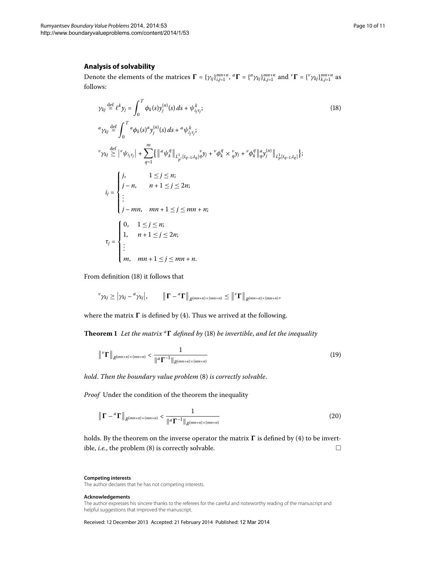#### **Analysis of solvability**

Denote the elements of the matrices  $\mathbf{\Gamma} = {\gamma_{ij}}_{i,j=1}^{mn+n}$ ,  ${}^a\mathbf{\Gamma} = \{^a \gamma_{kj}\}_{k,j=1}^{mn+n}$  and  ${}^v\mathbf{\Gamma} = \{^v \gamma_{kj}\}_{k,j=1}^{mn+n}$  as follows:

<span id="page-9-0"></span>
$$
\gamma_{kj} \stackrel{\text{def}}{=} \ell^k y_j = \int_0^T \phi_k(s) y_j^{(n)}(s) \, ds + \psi_{ij}^k ;
$$
\n
$$
\alpha_{\gamma_{kj}} \stackrel{\text{def}}{=} \int_0^T \alpha_{\phi_k(s)} \alpha_{y_j^{(n)}}(s) \, ds + \alpha_{\psi_{ij}^k j} ;
$$
\n
$$
\gamma_{kj} \geq |\gamma_{kj}| + \sum_{q=1}^m \{ ||\alpha_{\psi_k}^q||_{L^1_{p'}[t_{q-1}, t_q]} \alpha_{y_j}^q + \gamma_{\phi_k}^q \times \alpha_{y_j}^q + \gamma_{\phi_k}^q ||\alpha_{y_j^{(n)}}||_{L^1_p[t_{q-1}, t_q]} \};
$$
\n
$$
i_j = \begin{cases}\nj, & 1 \leq j \leq n; \\
j - n, & n+1 \leq j \leq 2n; \\
\vdots \\
j - mn, & mn + 1 \leq j \leq mn + n; \\
1, & n+1 \leq j \leq n; \\
1, & n+1 \leq j \leq nn; \\
\vdots \\
m, & mn + 1 \leq j \leq mn + n.\n\end{cases}
$$
\n(18)

From definition (18[\)](#page-9-0) it follows that

$$
\mathcal{V}_{\gamma_{kj}} \geq |\gamma_{kj} - \alpha \gamma_{kj}|, \qquad \|\Gamma - \alpha \Gamma\|_{R^{(mn+n)\times (mn+n)}} \leq \|\mathcal{V}\Gamma\|_{R^{(mn+n)\times (mn+n)}},
$$

where the matrix  $\boldsymbol{\Gamma}$  is defined by [\(](#page-1-1)4). Thus we arrived at the following.

**Theorem 1** Let the matrix <sup>a</sup>**T** defined by (18) be invertible, and let the inequality

$$
\|{}^{V}\Gamma\|_{R^{(mn+n)\times(mn+n)}} < \frac{1}{\|{}^{a}\Gamma^{-1}\|_{R^{(mn+n)\times(mn+n)}}} \tag{19}
$$

*hold. Then the boundary value problem* (8[\)](#page-4-0) *is correctly solvable.* 

*Proof* Under the condition of the theorem the inequality

$$
\left\| \boldsymbol{\Gamma} - \boldsymbol{a} \boldsymbol{\Gamma} \right\|_{R^{(mn+n)\times (mn+n)}} < \frac{1}{\left\| \boldsymbol{a} \boldsymbol{\Gamma}^{-1} \right\|_{R^{(mn+n)\times (mn+n)}}} \tag{20}
$$

holds. By the theorem on the inverse operator the matrix  $\boldsymbol{\Gamma}$  is defined by (4[\)](#page-1-1) to be invertible, *i.e.*, the problem [\(](#page-4-0)8) is correctly solvable.  $\Box$ 

#### **Competing interests**

The author declares that he has not competing interests.

#### **Acknowledgements**

The author expresses his sincere thanks to the referees for the careful and noteworthy reading of the manuscript and helpful suggestions that improved the manuscript.

Received: 12 December 2013 Accepted: 21 February 2014 Published: 12 Mar 2014